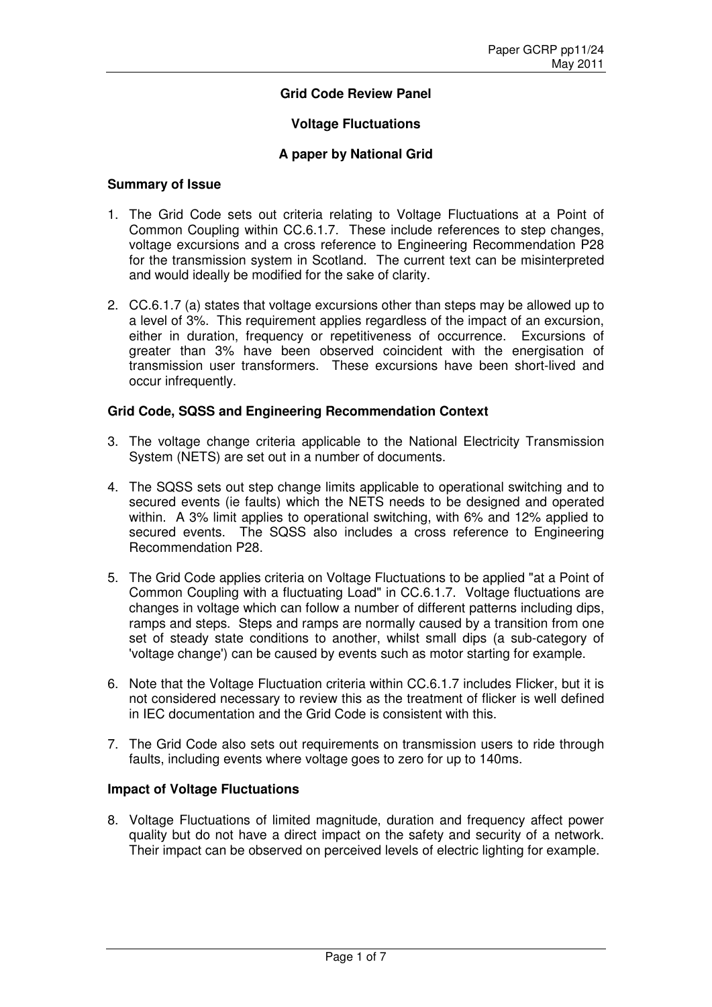## **Grid Code Review Panel**

#### **Voltage Fluctuations**

#### **A paper by National Grid**

#### **Summary of Issue**

- 1. The Grid Code sets out criteria relating to Voltage Fluctuations at a Point of Common Coupling within CC.6.1.7. These include references to step changes, voltage excursions and a cross reference to Engineering Recommendation P28 for the transmission system in Scotland. The current text can be misinterpreted and would ideally be modified for the sake of clarity.
- 2. CC.6.1.7 (a) states that voltage excursions other than steps may be allowed up to a level of 3%. This requirement applies regardless of the impact of an excursion, either in duration, frequency or repetitiveness of occurrence. Excursions of greater than 3% have been observed coincident with the energisation of transmission user transformers. These excursions have been short-lived and occur infrequently.

#### **Grid Code, SQSS and Engineering Recommendation Context**

- 3. The voltage change criteria applicable to the National Electricity Transmission System (NETS) are set out in a number of documents.
- 4. The SQSS sets out step change limits applicable to operational switching and to secured events (ie faults) which the NETS needs to be designed and operated within. A 3% limit applies to operational switching, with 6% and 12% applied to secured events. The SQSS also includes a cross reference to Engineering Recommendation P28.
- 5. The Grid Code applies criteria on Voltage Fluctuations to be applied "at a Point of Common Coupling with a fluctuating Load" in CC.6.1.7. Voltage fluctuations are changes in voltage which can follow a number of different patterns including dips, ramps and steps. Steps and ramps are normally caused by a transition from one set of steady state conditions to another, whilst small dips (a sub-category of 'voltage change') can be caused by events such as motor starting for example.
- 6. Note that the Voltage Fluctuation criteria within CC.6.1.7 includes Flicker, but it is not considered necessary to review this as the treatment of flicker is well defined in IEC documentation and the Grid Code is consistent with this.
- 7. The Grid Code also sets out requirements on transmission users to ride through faults, including events where voltage goes to zero for up to 140ms.

### **Impact of Voltage Fluctuations**

8. Voltage Fluctuations of limited magnitude, duration and frequency affect power quality but do not have a direct impact on the safety and security of a network. Their impact can be observed on perceived levels of electric lighting for example.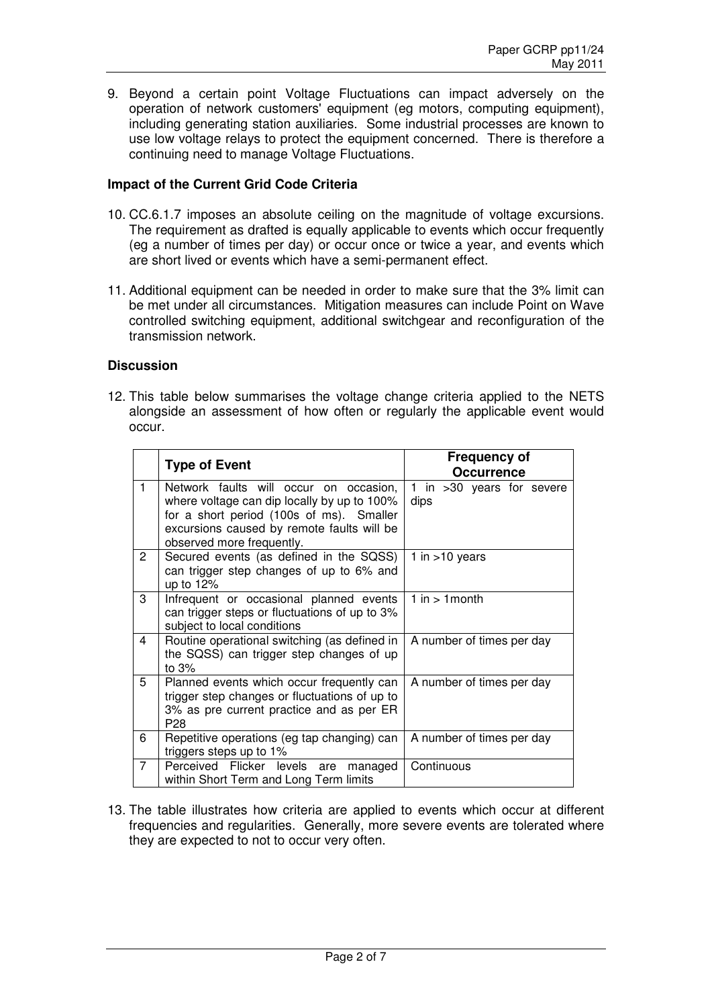9. Beyond a certain point Voltage Fluctuations can impact adversely on the operation of network customers' equipment (eg motors, computing equipment), including generating station auxiliaries. Some industrial processes are known to use low voltage relays to protect the equipment concerned. There is therefore a continuing need to manage Voltage Fluctuations.

#### **Impact of the Current Grid Code Criteria**

- 10. CC.6.1.7 imposes an absolute ceiling on the magnitude of voltage excursions. The requirement as drafted is equally applicable to events which occur frequently (eg a number of times per day) or occur once or twice a year, and events which are short lived or events which have a semi-permanent effect.
- 11. Additional equipment can be needed in order to make sure that the 3% limit can be met under all circumstances. Mitigation measures can include Point on Wave controlled switching equipment, additional switchgear and reconfiguration of the transmission network.

#### **Discussion**

12. This table below summarises the voltage change criteria applied to the NETS alongside an assessment of how often or regularly the applicable event would occur.

|                | <b>Type of Event</b>                                                                                                                                                                                         | <b>Frequency of</b><br><b>Occurrence</b> |
|----------------|--------------------------------------------------------------------------------------------------------------------------------------------------------------------------------------------------------------|------------------------------------------|
| $\mathbf{1}$   | Network faults will occur on occasion,<br>where voltage can dip locally by up to 100%<br>for a short period (100s of ms). Smaller<br>excursions caused by remote faults will be<br>observed more frequently. | 1 in >30 years for severe<br>dips        |
| $\overline{2}$ | Secured events (as defined in the SQSS)<br>can trigger step changes of up to 6% and<br>up to 12%                                                                                                             | 1 in $>10$ years                         |
| 3              | Infrequent or occasional planned events<br>can trigger steps or fluctuations of up to 3%<br>subject to local conditions                                                                                      | $1$ in $> 1$ month                       |
| 4              | Routine operational switching (as defined in<br>the SQSS) can trigger step changes of up<br>to $3%$                                                                                                          | A number of times per day                |
| 5              | Planned events which occur frequently can<br>trigger step changes or fluctuations of up to<br>3% as pre current practice and as per ER<br>P <sub>28</sub>                                                    | A number of times per day                |
| 6              | Repetitive operations (eg tap changing) can<br>triggers steps up to 1%                                                                                                                                       | A number of times per day                |
| $\overline{7}$ | Perceived Flicker levels<br>managed<br>are<br>within Short Term and Long Term limits                                                                                                                         | Continuous                               |

13. The table illustrates how criteria are applied to events which occur at different frequencies and regularities. Generally, more severe events are tolerated where they are expected to not to occur very often.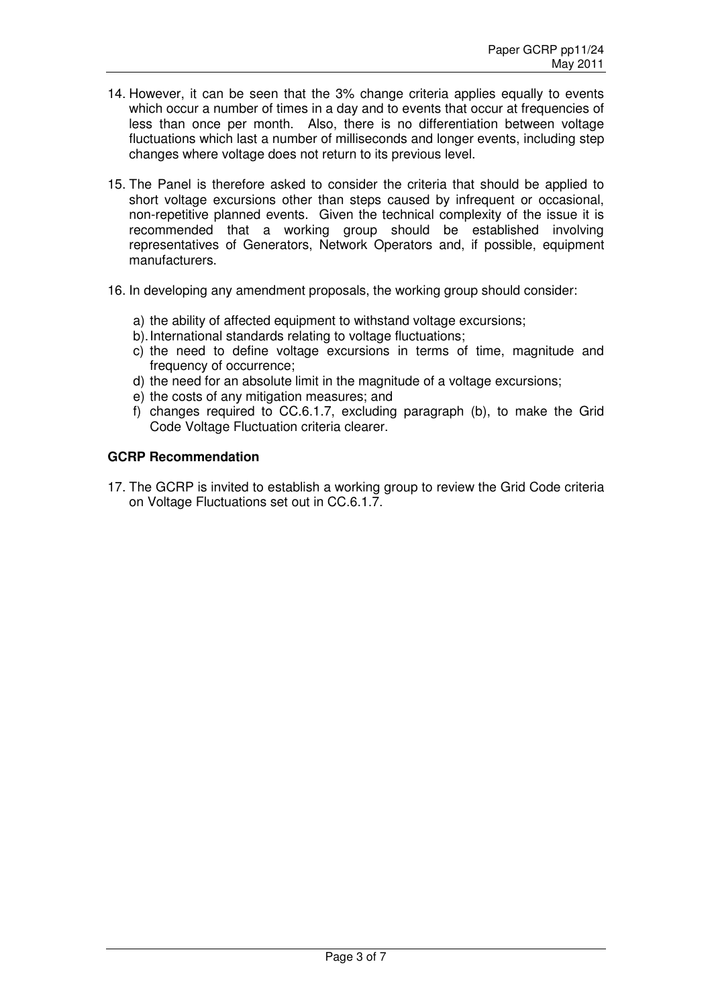- 14. However, it can be seen that the 3% change criteria applies equally to events which occur a number of times in a day and to events that occur at frequencies of less than once per month. Also, there is no differentiation between voltage fluctuations which last a number of milliseconds and longer events, including step changes where voltage does not return to its previous level.
- 15. The Panel is therefore asked to consider the criteria that should be applied to short voltage excursions other than steps caused by infrequent or occasional, non-repetitive planned events. Given the technical complexity of the issue it is recommended that a working group should be established involving representatives of Generators, Network Operators and, if possible, equipment manufacturers.
- 16. In developing any amendment proposals, the working group should consider:
	- a) the ability of affected equipment to withstand voltage excursions;
	- b). International standards relating to voltage fluctuations;
	- c) the need to define voltage excursions in terms of time, magnitude and frequency of occurrence;
	- d) the need for an absolute limit in the magnitude of a voltage excursions;
	- e) the costs of any mitigation measures; and
	- f) changes required to CC.6.1.7, excluding paragraph (b), to make the Grid Code Voltage Fluctuation criteria clearer.

## **GCRP Recommendation**

17. The GCRP is invited to establish a working group to review the Grid Code criteria on Voltage Fluctuations set out in CC.6.1.7.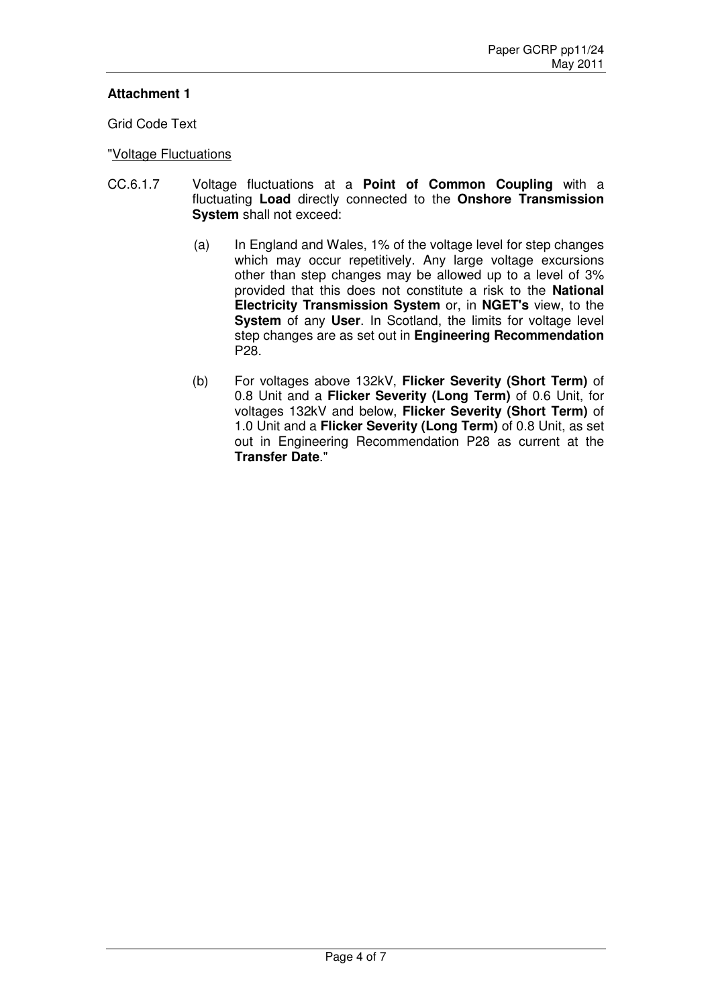# **Attachment 1**

Grid Code Text

## "Voltage Fluctuations

- CC.6.1.7 Voltage fluctuations at a **Point of Common Coupling** with a fluctuating **Load** directly connected to the **Onshore Transmission System** shall not exceed:
	- (a) In England and Wales, 1% of the voltage level for step changes which may occur repetitively. Any large voltage excursions other than step changes may be allowed up to a level of 3% provided that this does not constitute a risk to the **National Electricity Transmission System** or, in **NGET's** view, to the **System** of any **User**. In Scotland, the limits for voltage level step changes are as set out in **Engineering Recommendation** P28.
	- (b) For voltages above 132kV, **Flicker Severity (Short Term)** of 0.8 Unit and a **Flicker Severity (Long Term)** of 0.6 Unit, for voltages 132kV and below, **Flicker Severity (Short Term)** of 1.0 Unit and a **Flicker Severity (Long Term)** of 0.8 Unit, as set out in Engineering Recommendation P28 as current at the **Transfer Date**."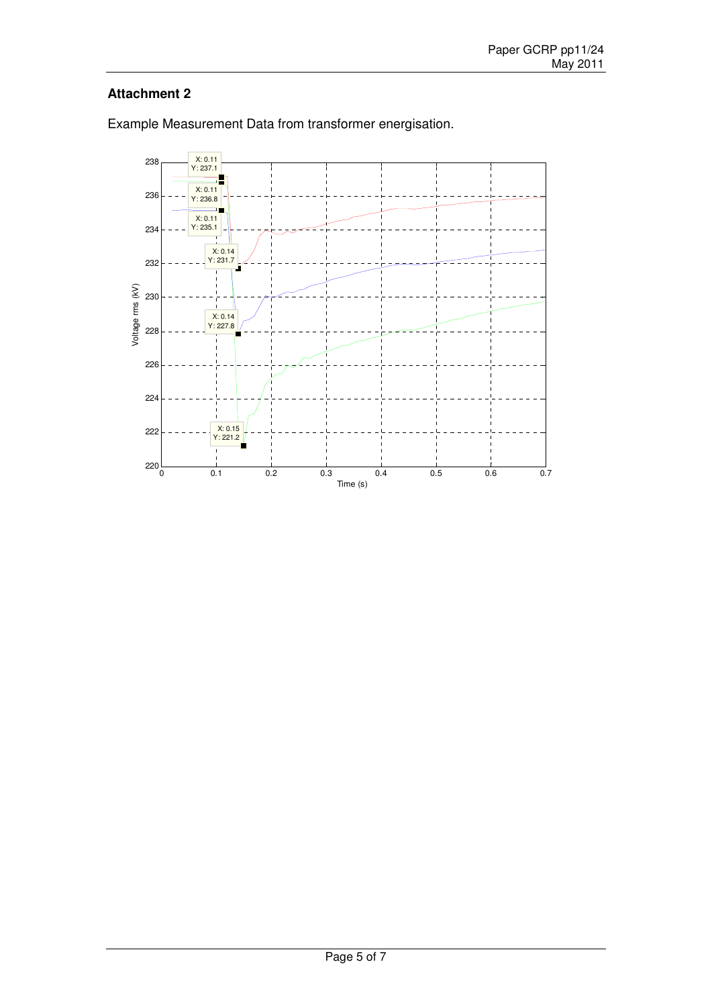# **Attachment 2**



Example Measurement Data from transformer energisation.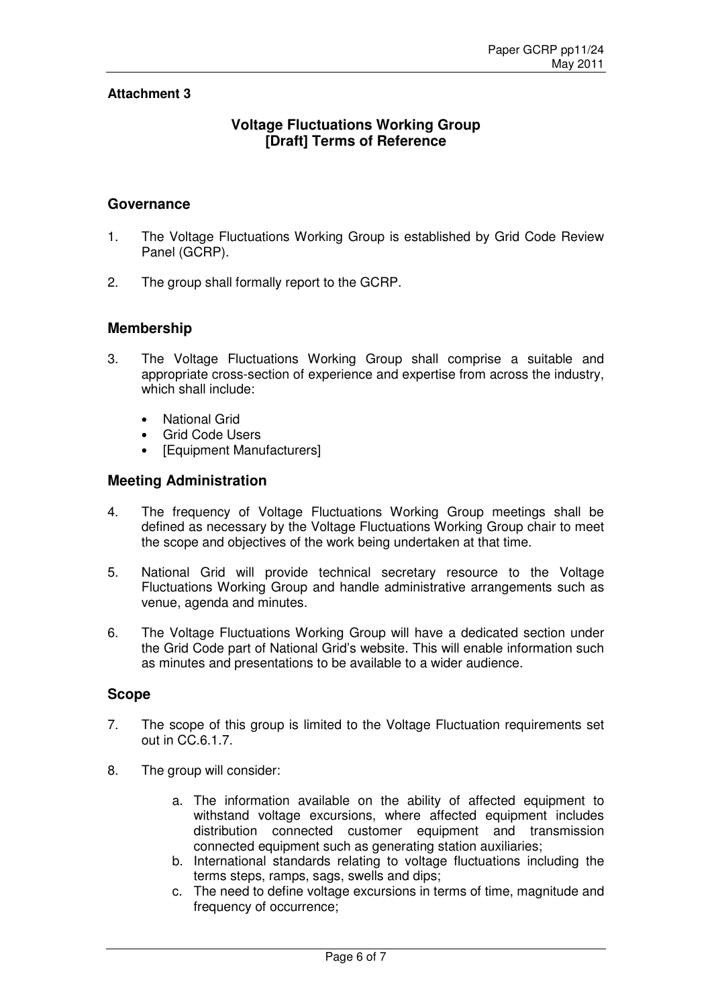## **Attachment 3**

# **Voltage Fluctuations Working Group [Draft] Terms of Reference**

#### **Governance**

- 1. The Voltage Fluctuations Working Group is established by Grid Code Review Panel (GCRP).
- 2. The group shall formally report to the GCRP.

## **Membership**

- 3. The Voltage Fluctuations Working Group shall comprise a suitable and appropriate cross-section of experience and expertise from across the industry, which shall include:
	- National Grid
	- Grid Code Users
	- [Equipment Manufacturers]

## **Meeting Administration**

- 4. The frequency of Voltage Fluctuations Working Group meetings shall be defined as necessary by the Voltage Fluctuations Working Group chair to meet the scope and objectives of the work being undertaken at that time.
- 5. National Grid will provide technical secretary resource to the Voltage Fluctuations Working Group and handle administrative arrangements such as venue, agenda and minutes.
- 6. The Voltage Fluctuations Working Group will have a dedicated section under the Grid Code part of National Grid's website. This will enable information such as minutes and presentations to be available to a wider audience.

### **Scope**

- 7. The scope of this group is limited to the Voltage Fluctuation requirements set out in CC.6.1.7.
- 8. The group will consider:
	- a. The information available on the ability of affected equipment to withstand voltage excursions, where affected equipment includes distribution connected customer equipment and transmission connected equipment such as generating station auxiliaries;
	- b. International standards relating to voltage fluctuations including the terms steps, ramps, sags, swells and dips;
	- c. The need to define voltage excursions in terms of time, magnitude and frequency of occurrence;